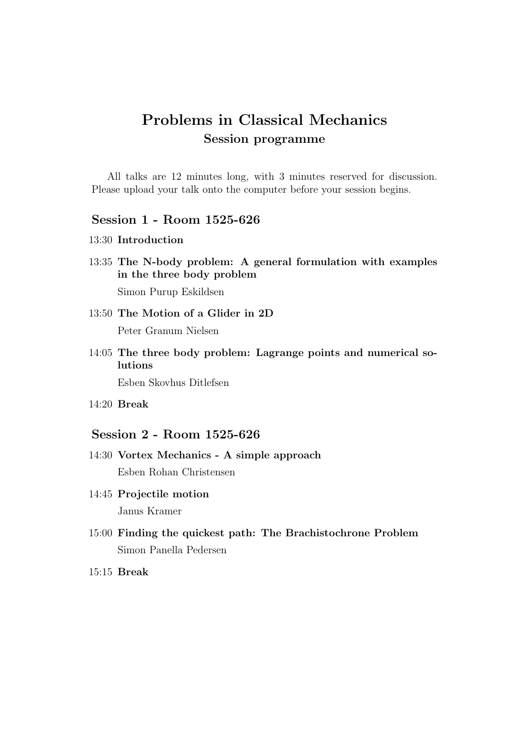# Problems in Classical Mechanics Session programme

All talks are 12 minutes long, with 3 minutes reserved for discussion. Please upload your talk onto the computer before your session begins.

## Session 1 - Room 1525-626

- 13:30 Introduction
- 13:35 The N-body problem: A general formulation with examples in the three body problem Simon Purup Eskildsen
- 13:50 The Motion of a Glider in 2D Peter Granum Nielsen
- 14:05 The three body problem: Lagrange points and numerical solutions

Esben Skovhus Ditlefsen

14:20 Break

#### Session 2 - Room 1525-626

- 14:30 Vortex Mechanics A simple approach Esben Rohan Christensen
- 14:45 Projectile motion Janus Kramer
- 15:00 Finding the quickest path: The Brachistochrone Problem Simon Panella Pedersen
- 15:15 Break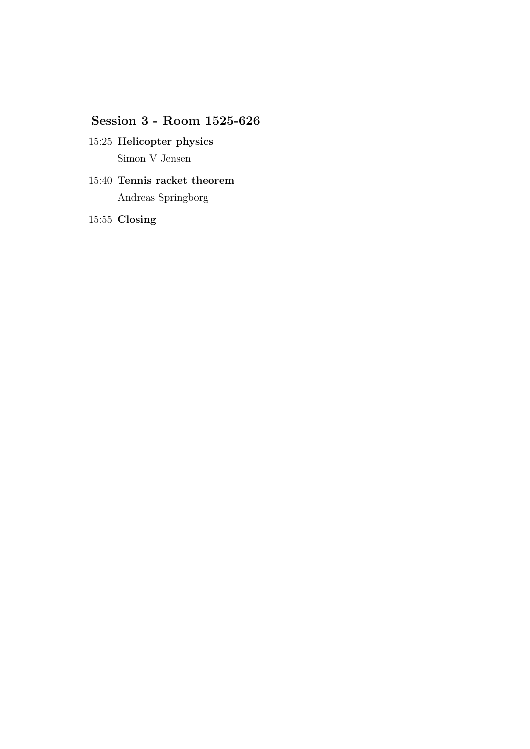## Session 3 - Room 1525-626

- 15:25 Helicopter physics Simon V Jensen
- 15:40 Tennis racket theorem Andreas Springborg

15:55 Closing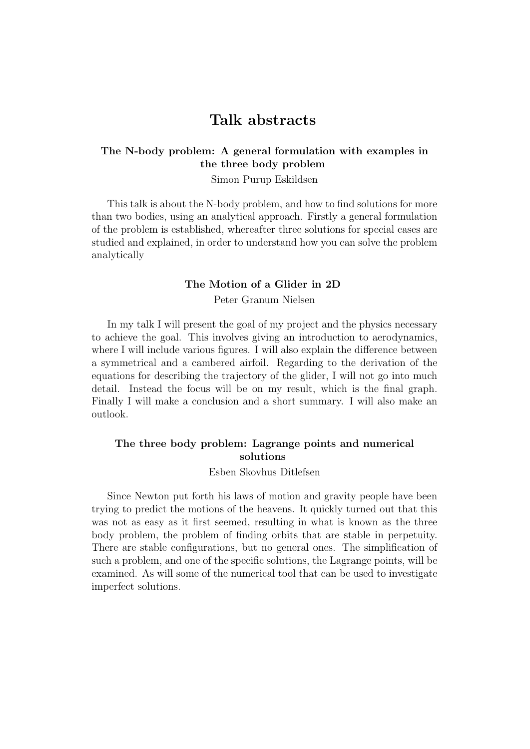## Talk abstracts

#### The N-body problem: A general formulation with examples in the three body problem

Simon Purup Eskildsen

This talk is about the N-body problem, and how to find solutions for more than two bodies, using an analytical approach. Firstly a general formulation of the problem is established, whereafter three solutions for special cases are studied and explained, in order to understand how you can solve the problem analytically

#### The Motion of a Glider in 2D

Peter Granum Nielsen

In my talk I will present the goal of my project and the physics necessary to achieve the goal. This involves giving an introduction to aerodynamics, where I will include various figures. I will also explain the difference between a symmetrical and a cambered airfoil. Regarding to the derivation of the equations for describing the trajectory of the glider, I will not go into much detail. Instead the focus will be on my result, which is the final graph. Finally I will make a conclusion and a short summary. I will also make an outlook.

#### The three body problem: Lagrange points and numerical solutions

#### Esben Skovhus Ditlefsen

Since Newton put forth his laws of motion and gravity people have been trying to predict the motions of the heavens. It quickly turned out that this was not as easy as it first seemed, resulting in what is known as the three body problem, the problem of finding orbits that are stable in perpetuity. There are stable configurations, but no general ones. The simplification of such a problem, and one of the specific solutions, the Lagrange points, will be examined. As will some of the numerical tool that can be used to investigate imperfect solutions.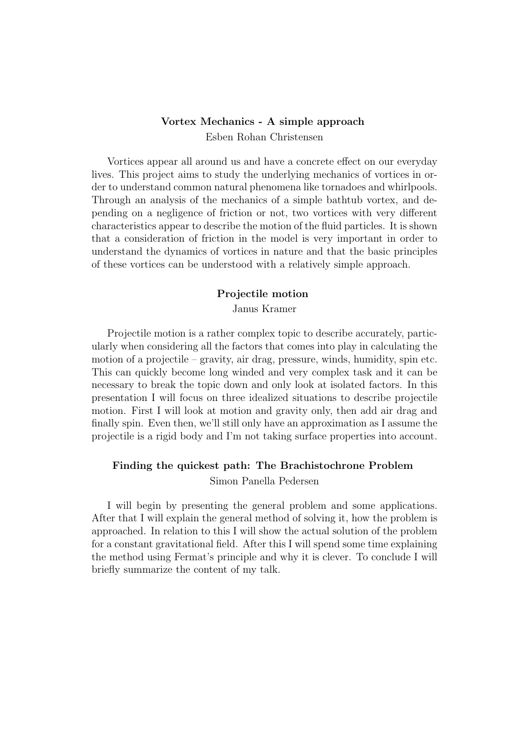### Vortex Mechanics - A simple approach Esben Rohan Christensen

Vortices appear all around us and have a concrete effect on our everyday lives. This project aims to study the underlying mechanics of vortices in order to understand common natural phenomena like tornadoes and whirlpools. Through an analysis of the mechanics of a simple bathtub vortex, and depending on a negligence of friction or not, two vortices with very different characteristics appear to describe the motion of the fluid particles. It is shown that a consideration of friction in the model is very important in order to understand the dynamics of vortices in nature and that the basic principles of these vortices can be understood with a relatively simple approach.

# Projectile motion

Janus Kramer

Projectile motion is a rather complex topic to describe accurately, particularly when considering all the factors that comes into play in calculating the motion of a projectile – gravity, air drag, pressure, winds, humidity, spin etc. This can quickly become long winded and very complex task and it can be necessary to break the topic down and only look at isolated factors. In this presentation I will focus on three idealized situations to describe projectile motion. First I will look at motion and gravity only, then add air drag and finally spin. Even then, we'll still only have an approximation as I assume the projectile is a rigid body and I'm not taking surface properties into account.

#### Finding the quickest path: The Brachistochrone Problem

Simon Panella Pedersen

I will begin by presenting the general problem and some applications. After that I will explain the general method of solving it, how the problem is approached. In relation to this I will show the actual solution of the problem for a constant gravitational field. After this I will spend some time explaining the method using Fermat's principle and why it is clever. To conclude I will briefly summarize the content of my talk.